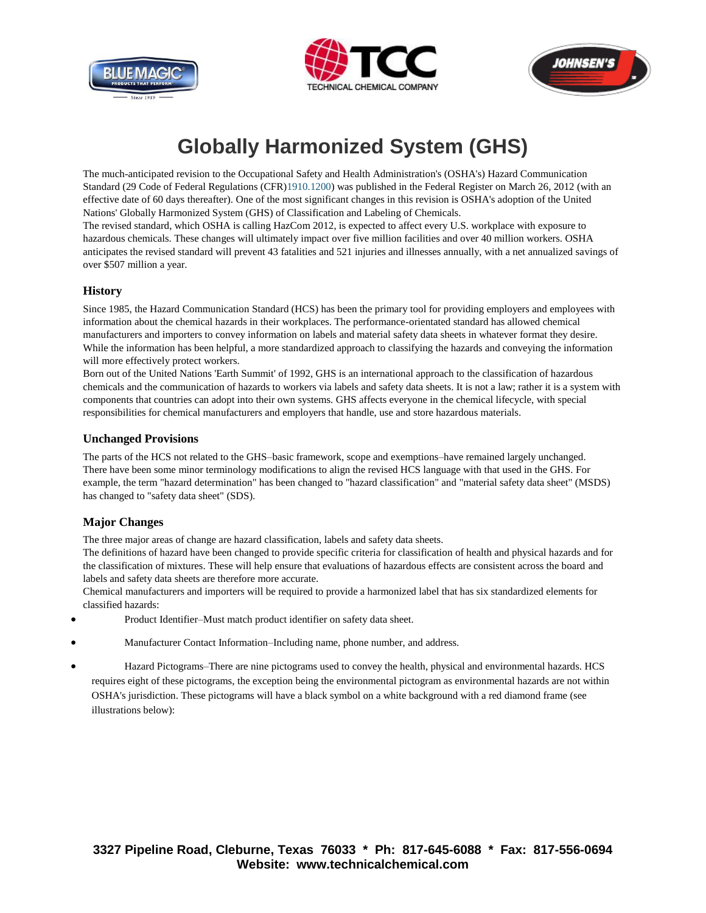





# **Globally Harmonized System (GHS)**

The much-anticipated revision to the Occupational Safety and Health Administration's (OSHA's) Hazard Communication Standard (29 Code of Federal Regulations (CFR[\)1910.1200\)](http://www.osha.gov/pls/oshaweb/owadisp.show_document?p_table=standards&p_id=10099) was published in the Federal Register on March 26, 2012 (with an effective date of 60 days thereafter). One of the most significant changes in this revision is OSHA's adoption of the United Nations' Globally Harmonized System (GHS) of Classification and Labeling of Chemicals.

The revised standard, which OSHA is calling HazCom 2012, is expected to affect every U.S. workplace with exposure to hazardous chemicals. These changes will ultimately impact over five million facilities and over 40 million workers. OSHA anticipates the revised standard will prevent 43 fatalities and 521 injuries and illnesses annually, with a net annualized savings of over \$507 million a year.

# **History**

Since 1985, the Hazard Communication Standard (HCS) has been the primary tool for providing employers and employees with information about the chemical hazards in their workplaces. The performance-orientated standard has allowed chemical manufacturers and importers to convey information on labels and material safety data sheets in whatever format they desire. While the information has been helpful, a more standardized approach to classifying the hazards and conveying the information will more effectively protect workers.

Born out of the United Nations 'Earth Summit' of 1992, GHS is an international approach to the classification of hazardous chemicals and the communication of hazards to workers via labels and safety data sheets. It is not a law; rather it is a system with components that countries can adopt into their own systems. GHS affects everyone in the chemical lifecycle, with special responsibilities for chemical manufacturers and employers that handle, use and store hazardous materials.

## **Unchanged Provisions**

The parts of the HCS not related to the GHS–basic framework, scope and exemptions–have remained largely unchanged. There have been some minor terminology modifications to align the revised HCS language with that used in the GHS. For example, the term "hazard determination" has been changed to "hazard classification" and "material safety data sheet" (MSDS) has changed to "safety data sheet" (SDS).

## **Major Changes**

The three major areas of change are hazard classification, labels and safety data sheets.

The definitions of hazard have been changed to provide specific criteria for classification of health and physical hazards and for the classification of mixtures. These will help ensure that evaluations of hazardous effects are consistent across the board and labels and safety data sheets are therefore more accurate.

Chemical manufacturers and importers will be required to provide a harmonized label that has six standardized elements for classified hazards:

- Product Identifier–Must match product identifier on safety data sheet.
- Manufacturer Contact Information–Including name, phone number, and address.
- Hazard Pictograms–There are nine pictograms used to convey the health, physical and environmental hazards. HCS requires eight of these pictograms, the exception being the environmental pictogram as environmental hazards are not within OSHA's jurisdiction. These pictograms will have a black symbol on a white background with a red diamond frame (see illustrations below):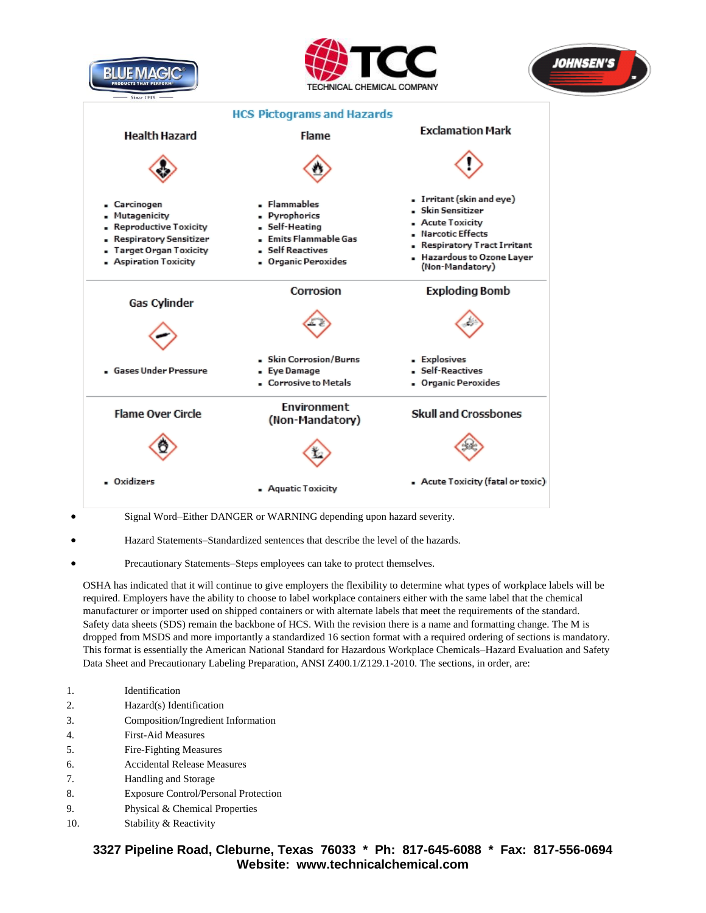

Signal Word–Either DANGER or WARNING depending upon hazard severity.

Hazard Statements–Standardized sentences that describe the level of the hazards.

Precautionary Statements–Steps employees can take to protect themselves.

OSHA has indicated that it will continue to give employers the flexibility to determine what types of workplace labels will be required. Employers have the ability to choose to label workplace containers either with the same label that the chemical manufacturer or importer used on shipped containers or with alternate labels that meet the requirements of the standard. Safety data sheets (SDS) remain the backbone of HCS. With the revision there is a name and formatting change. The M is dropped from MSDS and more importantly a standardized 16 section format with a required ordering of sections is mandatory. This format is essentially the American National Standard for Hazardous Workplace Chemicals–Hazard Evaluation and Safety Data Sheet and Precautionary Labeling Preparation, ANSI Z400.1/Z129.1-2010. The sections, in order, are:

- 1. Identification
- 2. Hazard(s) Identification
- 3. Composition/Ingredient Information
- 4. First-Aid Measures
- 5. Fire-Fighting Measures
- 6. Accidental Release Measures
- 7. Handling and Storage
- 8. Exposure Control/Personal Protection
- 9. Physical & Chemical Properties
- 10. Stability & Reactivity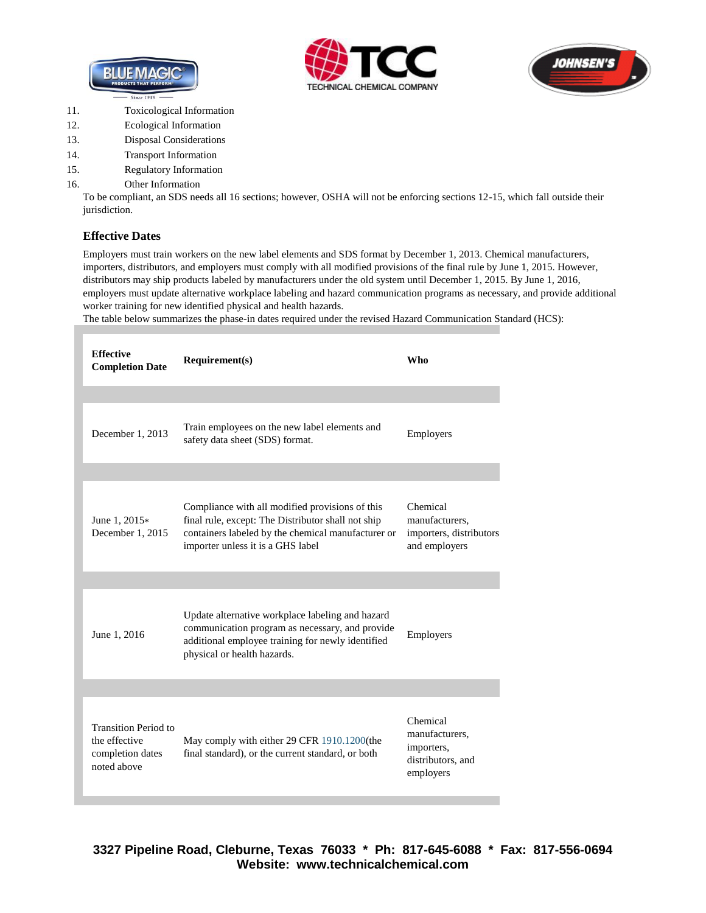





- 11. Toxicological Information
- 12. Ecological Information
- 13. Disposal Considerations
- 14. Transport Information
- 15. Regulatory Information
- 16. Other Information

To be compliant, an SDS needs all 16 sections; however, OSHA will not be enforcing sections 12-15, which fall outside their jurisdiction.

# **Effective Dates**

Employers must train workers on the new label elements and SDS format by December 1, 2013. Chemical manufacturers, importers, distributors, and employers must comply with all modified provisions of the final rule by June 1, 2015. However, distributors may ship products labeled by manufacturers under the old system until December 1, 2015. By June 1, 2016, employers must update alternative workplace labeling and hazard communication programs as necessary, and provide additional worker training for new identified physical and health hazards.

The table below summarizes the phase-in dates required under the revised Hazard Communication Standard (HCS):

| <b>Effective</b><br><b>Completion Date</b>                                      | Requirement(s)                                                                                                                                                                                   | Who                                                                        |
|---------------------------------------------------------------------------------|--------------------------------------------------------------------------------------------------------------------------------------------------------------------------------------------------|----------------------------------------------------------------------------|
|                                                                                 |                                                                                                                                                                                                  |                                                                            |
| December 1, 2013                                                                | Train employees on the new label elements and<br>safety data sheet (SDS) format.                                                                                                                 | Employers                                                                  |
|                                                                                 |                                                                                                                                                                                                  |                                                                            |
| June 1, 2015*<br>December 1, 2015                                               | Compliance with all modified provisions of this<br>final rule, except: The Distributor shall not ship<br>containers labeled by the chemical manufacturer or<br>importer unless it is a GHS label | Chemical<br>manufacturers,<br>importers, distributors<br>and employers     |
|                                                                                 |                                                                                                                                                                                                  |                                                                            |
| June 1, 2016                                                                    | Update alternative workplace labeling and hazard<br>communication program as necessary, and provide<br>additional employee training for newly identified<br>physical or health hazards.          | Employers                                                                  |
|                                                                                 |                                                                                                                                                                                                  |                                                                            |
| <b>Transition Period to</b><br>the effective<br>completion dates<br>noted above | May comply with either 29 CFR 1910.1200(the<br>final standard), or the current standard, or both                                                                                                 | Chemical<br>manufacturers.<br>importers,<br>distributors, and<br>employers |

**3327 Pipeline Road, Cleburne, Texas 76033 \* Ph: 817-645-6088 \* Fax: 817-556-0694 Website: www.technicalchemical.com**